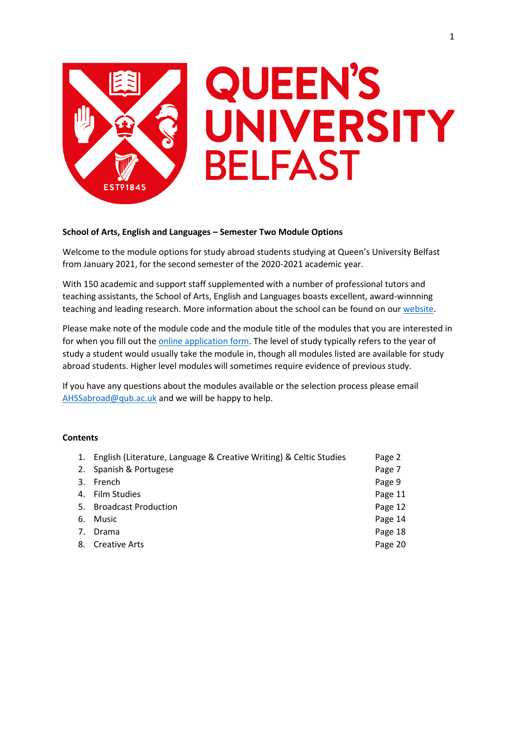

# **QUEEN'S** UNIVERSITY **BELFAST**

## **School of Arts, English and Languages – Semester Two Module Options**

Welcome to the module options for study abroad students studying at Queen's University Belfast from January 2021, for the second semester of the 2020-2021 academic year.

With 150 academic and support staff supplemented with a number of professional tutors and teaching assistants, the School of Arts, English and Languages boasts excellent, award-winnning teaching and leading research. More information about the school can be found on our [website.](https://www.qub.ac.uk/schools/ael/)

Please make note of the module code and the module title of the modules that you are interested in for when you fill out th[e online application form.](https://forms.office.com/Pages/ResponsePage.aspx?id=6ner6qW040mh6NbdI6HyhuNo6y7MZmlFqRFBsQuklldUMk9NNlVPQUxQSFpJQ0I4VzFVNVhFMzNQRyQlQCN0PWcu) The level of study typically refers to the year of study a student would usually take the module in, though all modules listed are available for study abroad students. Higher level modules will sometimes require evidence of previous study.

If you have any questions about the modules available or the selection process please email [AHSSabroad@qub.ac.uk](mailto:AHSSabroad@qub.ac.uk) and we will be happy to help.

## **Contents**

| 1. English (Literature, Language & Creative Writing) & Celtic Studies | Page 2  |
|-----------------------------------------------------------------------|---------|
| 2. Spanish & Portugese                                                | Page 7  |
| 3. French                                                             | Page 9  |
| 4. Film Studies                                                       | Page 11 |
| 5. Broadcast Production                                               | Page 12 |
| 6. Music                                                              | Page 14 |
| 7. Drama                                                              | Page 18 |
| 8. Creative Arts                                                      | Page 20 |
|                                                                       |         |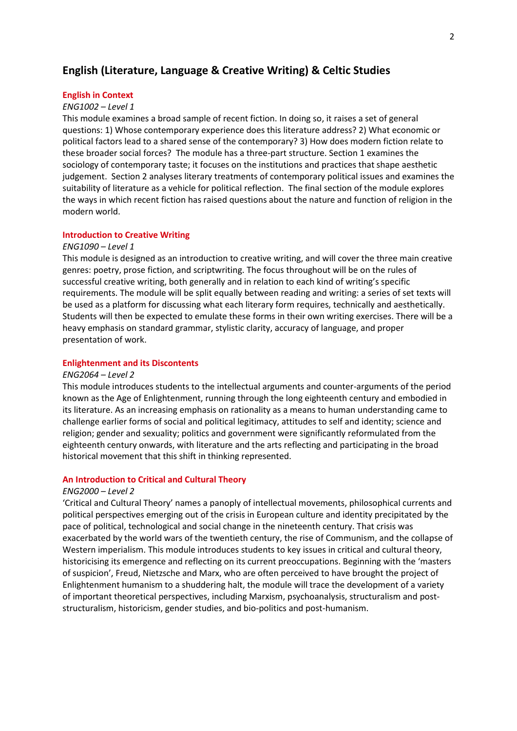# **English (Literature, Language & Creative Writing) & Celtic Studies**

#### **English in Context**

#### *ENG1002 – Level 1*

This module examines a broad sample of recent fiction. In doing so, it raises a set of general questions: 1) Whose contemporary experience does this literature address? 2) What economic or political factors lead to a shared sense of the contemporary? 3) How does modern fiction relate to these broader social forces? The module has a three-part structure. Section 1 examines the sociology of contemporary taste; it focuses on the institutions and practices that shape aesthetic judgement. Section 2 analyses literary treatments of contemporary political issues and examines the suitability of literature as a vehicle for political reflection. The final section of the module explores the ways in which recent fiction has raised questions about the nature and function of religion in the modern world.

## **Introduction to Creative Writing**

## *ENG1090 – Level 1*

This module is designed as an introduction to creative writing, and will cover the three main creative genres: poetry, prose fiction, and scriptwriting. The focus throughout will be on the rules of successful creative writing, both generally and in relation to each kind of writing's specific requirements. The module will be split equally between reading and writing: a series of set texts will be used as a platform for discussing what each literary form requires, technically and aesthetically. Students will then be expected to emulate these forms in their own writing exercises. There will be a heavy emphasis on standard grammar, stylistic clarity, accuracy of language, and proper presentation of work.

#### **Enlightenment and its Discontents**

## *ENG2064 – Level 2*

This module introduces students to the intellectual arguments and counter-arguments of the period known as the Age of Enlightenment, running through the long eighteenth century and embodied in its literature. As an increasing emphasis on rationality as a means to human understanding came to challenge earlier forms of social and political legitimacy, attitudes to self and identity; science and religion; gender and sexuality; politics and government were significantly reformulated from the eighteenth century onwards, with literature and the arts reflecting and participating in the broad historical movement that this shift in thinking represented.

#### **An Introduction to Critical and Cultural Theory**

#### *ENG2000 – Level 2*

'Critical and Cultural Theory' names a panoply of intellectual movements, philosophical currents and political perspectives emerging out of the crisis in European culture and identity precipitated by the pace of political, technological and social change in the nineteenth century. That crisis was exacerbated by the world wars of the twentieth century, the rise of Communism, and the collapse of Western imperialism. This module introduces students to key issues in critical and cultural theory, historicising its emergence and reflecting on its current preoccupations. Beginning with the 'masters of suspicion', Freud, Nietzsche and Marx, who are often perceived to have brought the project of Enlightenment humanism to a shuddering halt, the module will trace the development of a variety of important theoretical perspectives, including Marxism, psychoanalysis, structuralism and poststructuralism, historicism, gender studies, and bio-politics and post-humanism.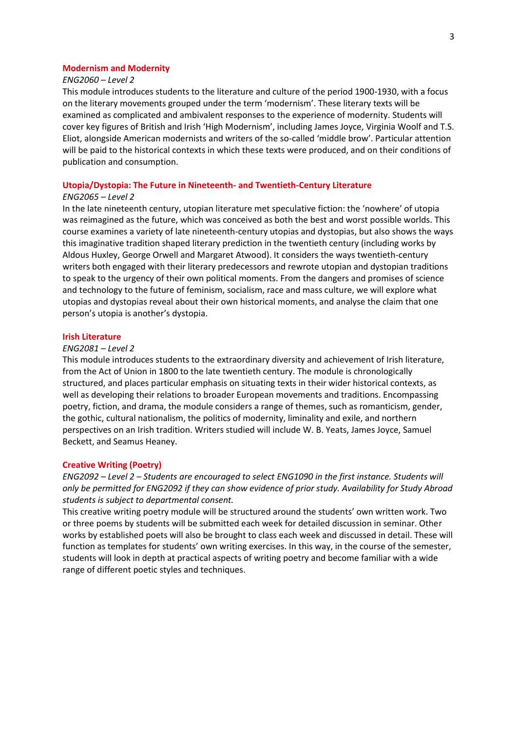## **Modernism and Modernity**

## *ENG2060 – Level 2*

This module introduces students to the literature and culture of the period 1900-1930, with a focus on the literary movements grouped under the term 'modernism'. These literary texts will be examined as complicated and ambivalent responses to the experience of modernity. Students will cover key figures of British and Irish 'High Modernism', including James Joyce, Virginia Woolf and T.S. Eliot, alongside American modernists and writers of the so-called 'middle brow'. Particular attention will be paid to the historical contexts in which these texts were produced, and on their conditions of publication and consumption.

## **Utopia/Dystopia: The Future in Nineteenth- and Twentieth-Century Literature**

## *ENG2065 – Level 2*

In the late nineteenth century, utopian literature met speculative fiction: the 'nowhere' of utopia was reimagined as the future, which was conceived as both the best and worst possible worlds. This course examines a variety of late nineteenth-century utopias and dystopias, but also shows the ways this imaginative tradition shaped literary prediction in the twentieth century (including works by Aldous Huxley, George Orwell and Margaret Atwood). It considers the ways twentieth-century writers both engaged with their literary predecessors and rewrote utopian and dystopian traditions to speak to the urgency of their own political moments. From the dangers and promises of science and technology to the future of feminism, socialism, race and mass culture, we will explore what utopias and dystopias reveal about their own historical moments, and analyse the claim that one person's utopia is another's dystopia.

#### **Irish Literature**

#### *ENG2081 – Level 2*

This module introduces students to the extraordinary diversity and achievement of Irish literature, from the Act of Union in 1800 to the late twentieth century. The module is chronologically structured, and places particular emphasis on situating texts in their wider historical contexts, as well as developing their relations to broader European movements and traditions. Encompassing poetry, fiction, and drama, the module considers a range of themes, such as romanticism, gender, the gothic, cultural nationalism, the politics of modernity, liminality and exile, and northern perspectives on an Irish tradition. Writers studied will include W. B. Yeats, James Joyce, Samuel Beckett, and Seamus Heaney.

#### **Creative Writing (Poetry)**

*ENG2092 – Level 2 – Students are encouraged to select ENG1090 in the first instance. Students will only be permitted for ENG2092 if they can show evidence of prior study. Availability for Study Abroad students is subject to departmental consent.*

This creative writing poetry module will be structured around the students' own written work. Two or three poems by students will be submitted each week for detailed discussion in seminar. Other works by established poets will also be brought to class each week and discussed in detail. These will function as templates for students' own writing exercises. In this way, in the course of the semester, students will look in depth at practical aspects of writing poetry and become familiar with a wide range of different poetic styles and techniques.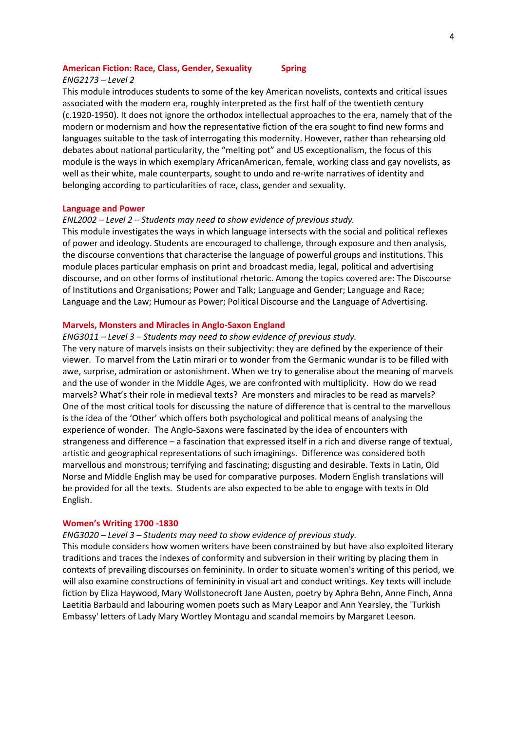#### **American Fiction: Race, Class, Gender, Sexuality Spring**

#### *ENG2173 – Level 2*

This module introduces students to some of the key American novelists, contexts and critical issues associated with the modern era, roughly interpreted as the first half of the twentieth century (c.1920-1950). It does not ignore the orthodox intellectual approaches to the era, namely that of the modern or modernism and how the representative fiction of the era sought to find new forms and languages suitable to the task of interrogating this modernity. However, rather than rehearsing old debates about national particularity, the "melting pot" and US exceptionalism, the focus of this module is the ways in which exemplary AfricanAmerican, female, working class and gay novelists, as well as their white, male counterparts, sought to undo and re-write narratives of identity and belonging according to particularities of race, class, gender and sexuality.

#### **Language and Power**

## *ENL2002 – Level 2 – Students may need to show evidence of previous study.*

This module investigates the ways in which language intersects with the social and political reflexes of power and ideology. Students are encouraged to challenge, through exposure and then analysis, the discourse conventions that characterise the language of powerful groups and institutions. This module places particular emphasis on print and broadcast media, legal, political and advertising discourse, and on other forms of institutional rhetoric. Among the topics covered are: The Discourse of Institutions and Organisations; Power and Talk; Language and Gender; Language and Race; Language and the Law; Humour as Power; Political Discourse and the Language of Advertising.

#### **Marvels, Monsters and Miracles in Anglo-Saxon England**

#### *ENG3011 – Level 3 – Students may need to show evidence of previous study.*

The very nature of marvels insists on their subjectivity: they are defined by the experience of their viewer. To marvel from the Latin mirari or to wonder from the Germanic wundar is to be filled with awe, surprise, admiration or astonishment. When we try to generalise about the meaning of marvels and the use of wonder in the Middle Ages, we are confronted with multiplicity. How do we read marvels? What's their role in medieval texts? Are monsters and miracles to be read as marvels? One of the most critical tools for discussing the nature of difference that is central to the marvellous is the idea of the 'Other' which offers both psychological and political means of analysing the experience of wonder. The Anglo-Saxons were fascinated by the idea of encounters with strangeness and difference – a fascination that expressed itself in a rich and diverse range of textual, artistic and geographical representations of such imaginings. Difference was considered both marvellous and monstrous; terrifying and fascinating; disgusting and desirable. Texts in Latin, Old Norse and Middle English may be used for comparative purposes. Modern English translations will be provided for all the texts. Students are also expected to be able to engage with texts in Old English.

#### **Women's Writing 1700 -1830**

#### *ENG3020 – Level 3 – Students may need to show evidence of previous study.*

This module considers how women writers have been constrained by but have also exploited literary traditions and traces the indexes of conformity and subversion in their writing by placing them in contexts of prevailing discourses on femininity. In order to situate women's writing of this period, we will also examine constructions of femininity in visual art and conduct writings. Key texts will include fiction by Eliza Haywood, Mary Wollstonecroft Jane Austen, poetry by Aphra Behn, Anne Finch, Anna Laetitia Barbauld and labouring women poets such as Mary Leapor and Ann Yearsley, the 'Turkish Embassy' letters of Lady Mary Wortley Montagu and scandal memoirs by Margaret Leeson.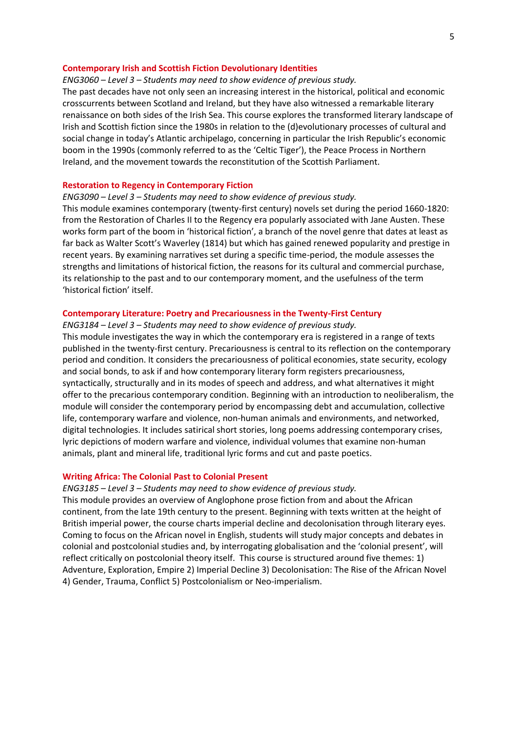#### **Contemporary Irish and Scottish Fiction Devolutionary Identities**

## *ENG3060 – Level 3 – Students may need to show evidence of previous study.*

The past decades have not only seen an increasing interest in the historical, political and economic crosscurrents between Scotland and Ireland, but they have also witnessed a remarkable literary renaissance on both sides of the Irish Sea. This course explores the transformed literary landscape of Irish and Scottish fiction since the 1980s in relation to the (d)evolutionary processes of cultural and social change in today's Atlantic archipelago, concerning in particular the Irish Republic's economic boom in the 1990s (commonly referred to as the 'Celtic Tiger'), the Peace Process in Northern Ireland, and the movement towards the reconstitution of the Scottish Parliament.

## **Restoration to Regency in Contemporary Fiction**

#### *ENG3090 – Level 3 – Students may need to show evidence of previous study.*

This module examines contemporary (twenty-first century) novels set during the period 1660-1820: from the Restoration of Charles II to the Regency era popularly associated with Jane Austen. These works form part of the boom in 'historical fiction', a branch of the novel genre that dates at least as far back as Walter Scott's Waverley (1814) but which has gained renewed popularity and prestige in recent years. By examining narratives set during a specific time-period, the module assesses the strengths and limitations of historical fiction, the reasons for its cultural and commercial purchase, its relationship to the past and to our contemporary moment, and the usefulness of the term 'historical fiction' itself.

#### **Contemporary Literature: Poetry and Precariousness in the Twenty-First Century**

#### *ENG3184 – Level 3 – Students may need to show evidence of previous study.*

This module investigates the way in which the contemporary era is registered in a range of texts published in the twenty-first century. Precariousness is central to its reflection on the contemporary period and condition. It considers the precariousness of political economies, state security, ecology and social bonds, to ask if and how contemporary literary form registers precariousness, syntactically, structurally and in its modes of speech and address, and what alternatives it might offer to the precarious contemporary condition. Beginning with an introduction to neoliberalism, the module will consider the contemporary period by encompassing debt and accumulation, collective life, contemporary warfare and violence, non-human animals and environments, and networked, digital technologies. It includes satirical short stories, long poems addressing contemporary crises, lyric depictions of modern warfare and violence, individual volumes that examine non-human animals, plant and mineral life, traditional lyric forms and cut and paste poetics.

#### **Writing Africa: The Colonial Past to Colonial Present**

#### *ENG3185 – Level 3 – Students may need to show evidence of previous study.*

This module provides an overview of Anglophone prose fiction from and about the African continent, from the late 19th century to the present. Beginning with texts written at the height of British imperial power, the course charts imperial decline and decolonisation through literary eyes. Coming to focus on the African novel in English, students will study major concepts and debates in colonial and postcolonial studies and, by interrogating globalisation and the 'colonial present', will reflect critically on postcolonial theory itself. This course is structured around five themes: 1) Adventure, Exploration, Empire 2) Imperial Decline 3) Decolonisation: The Rise of the African Novel 4) Gender, Trauma, Conflict 5) Postcolonialism or Neo-imperialism.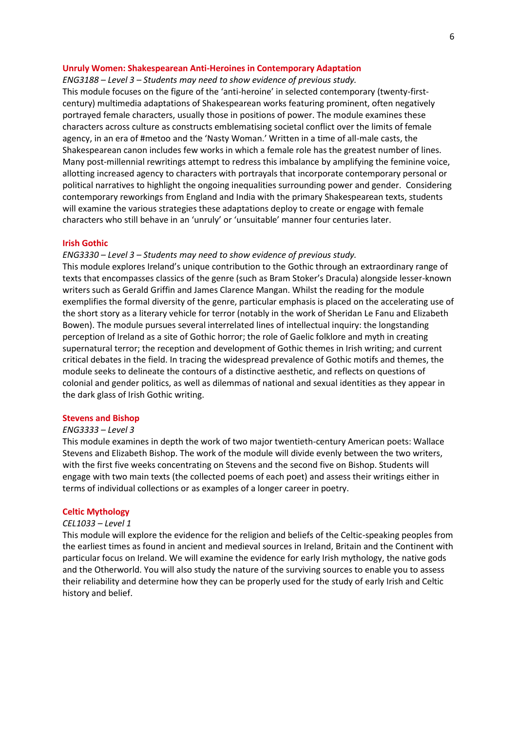#### **Unruly Women: Shakespearean Anti-Heroines in Contemporary Adaptation**

*ENG3188 – Level 3 – Students may need to show evidence of previous study.*

This module focuses on the figure of the 'anti-heroine' in selected contemporary (twenty-firstcentury) multimedia adaptations of Shakespearean works featuring prominent, often negatively portrayed female characters, usually those in positions of power. The module examines these characters across culture as constructs emblematising societal conflict over the limits of female agency, in an era of #metoo and the 'Nasty Woman.' Written in a time of all-male casts, the Shakespearean canon includes few works in which a female role has the greatest number of lines. Many post-millennial rewritings attempt to redress this imbalance by amplifying the feminine voice, allotting increased agency to characters with portrayals that incorporate contemporary personal or political narratives to highlight the ongoing inequalities surrounding power and gender. Considering contemporary reworkings from England and India with the primary Shakespearean texts, students will examine the various strategies these adaptations deploy to create or engage with female characters who still behave in an 'unruly' or 'unsuitable' manner four centuries later.

#### **Irish Gothic**

## *ENG3330 – Level 3 – Students may need to show evidence of previous study.*

This module explores Ireland's unique contribution to the Gothic through an extraordinary range of texts that encompasses classics of the genre (such as Bram Stoker's Dracula) alongside lesser-known writers such as Gerald Griffin and James Clarence Mangan. Whilst the reading for the module exemplifies the formal diversity of the genre, particular emphasis is placed on the accelerating use of the short story as a literary vehicle for terror (notably in the work of Sheridan Le Fanu and Elizabeth Bowen). The module pursues several interrelated lines of intellectual inquiry: the longstanding perception of Ireland as a site of Gothic horror; the role of Gaelic folklore and myth in creating supernatural terror; the reception and development of Gothic themes in Irish writing; and current critical debates in the field. In tracing the widespread prevalence of Gothic motifs and themes, the module seeks to delineate the contours of a distinctive aesthetic, and reflects on questions of colonial and gender politics, as well as dilemmas of national and sexual identities as they appear in the dark glass of Irish Gothic writing.

#### **Stevens and Bishop**

### *ENG3333 – Level 3*

This module examines in depth the work of two major twentieth-century American poets: Wallace Stevens and Elizabeth Bishop. The work of the module will divide evenly between the two writers, with the first five weeks concentrating on Stevens and the second five on Bishop. Students will engage with two main texts (the collected poems of each poet) and assess their writings either in terms of individual collections or as examples of a longer career in poetry.

## **Celtic Mythology**

#### *CEL1033 – Level 1*

This module will explore the evidence for the religion and beliefs of the Celtic-speaking peoples from the earliest times as found in ancient and medieval sources in Ireland, Britain and the Continent with particular focus on Ireland. We will examine the evidence for early Irish mythology, the native gods and the Otherworld. You will also study the nature of the surviving sources to enable you to assess their reliability and determine how they can be properly used for the study of early Irish and Celtic history and belief.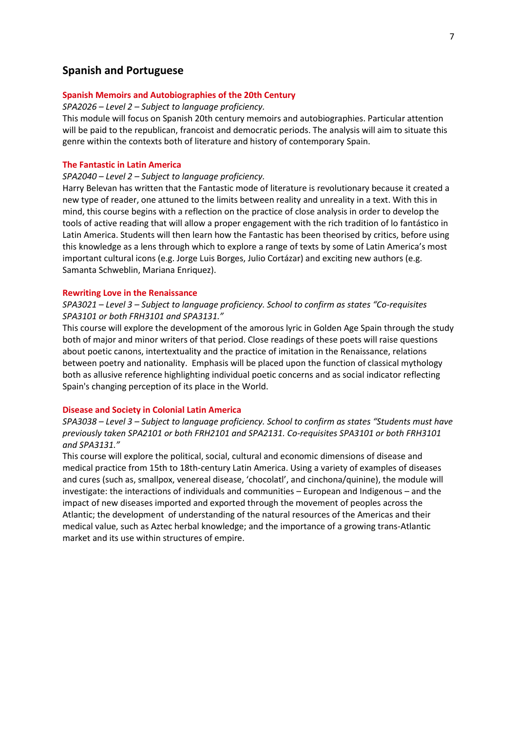## **Spanish and Portuguese**

## **Spanish Memoirs and Autobiographies of the 20th Century**

*SPA2026 – Level 2 – Subject to language proficiency.*

This module will focus on Spanish 20th century memoirs and autobiographies. Particular attention will be paid to the republican, francoist and democratic periods. The analysis will aim to situate this genre within the contexts both of literature and history of contemporary Spain.

## **The Fantastic in Latin America**

## *SPA2040 – Level 2 – Subject to language proficiency.*

Harry Belevan has written that the Fantastic mode of literature is revolutionary because it created a new type of reader, one attuned to the limits between reality and unreality in a text. With this in mind, this course begins with a reflection on the practice of close analysis in order to develop the tools of active reading that will allow a proper engagement with the rich tradition of lo fantástico in Latin America. Students will then learn how the Fantastic has been theorised by critics, before using this knowledge as a lens through which to explore a range of texts by some of Latin America's most important cultural icons (e.g. Jorge Luis Borges, Julio Cortázar) and exciting new authors (e.g. Samanta Schweblin, Mariana Enriquez).

#### **Rewriting Love in the Renaissance**

## *SPA3021 – Level 3 – Subject to language proficiency. School to confirm as states "Co-requisites SPA3101 or both FRH3101 and SPA3131."*

This course will explore the development of the amorous lyric in Golden Age Spain through the study both of major and minor writers of that period. Close readings of these poets will raise questions about poetic canons, intertextuality and the practice of imitation in the Renaissance, relations between poetry and nationality. Emphasis will be placed upon the function of classical mythology both as allusive reference highlighting individual poetic concerns and as social indicator reflecting Spain's changing perception of its place in the World.

#### **Disease and Society in Colonial Latin America**

*SPA3038 – Level 3 – Subject to language proficiency. School to confirm as states "Students must have previously taken SPA2101 or both FRH2101 and SPA2131. Co-requisites SPA3101 or both FRH3101 and SPA3131."*

This course will explore the political, social, cultural and economic dimensions of disease and medical practice from 15th to 18th-century Latin America. Using a variety of examples of diseases and cures (such as, smallpox, venereal disease, 'chocolatl', and cinchona/quinine), the module will investigate: the interactions of individuals and communities – European and Indigenous – and the impact of new diseases imported and exported through the movement of peoples across the Atlantic; the development of understanding of the natural resources of the Americas and their medical value, such as Aztec herbal knowledge; and the importance of a growing trans-Atlantic market and its use within structures of empire.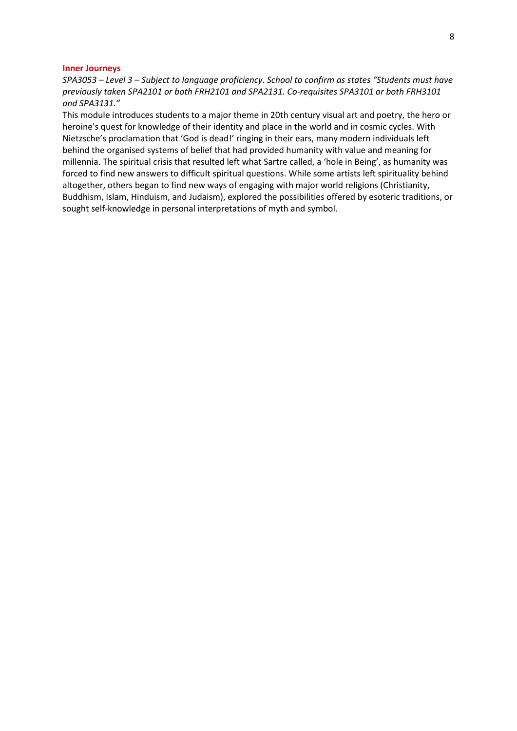#### **Inner Journeys**

*SPA3053 – Level 3 – Subject to language proficiency. School to confirm as states "Students must have previously taken SPA2101 or both FRH2101 and SPA2131. Co-requisites SPA3101 or both FRH3101 and SPA3131."*

This module introduces students to a major theme in 20th century visual art and poetry, the hero or heroine's quest for knowledge of their identity and place in the world and in cosmic cycles. With Nietzsche's proclamation that 'God is dead!' ringing in their ears, many modern individuals left behind the organised systems of belief that had provided humanity with value and meaning for millennia. The spiritual crisis that resulted left what Sartre called, a 'hole in Being', as humanity was forced to find new answers to difficult spiritual questions. While some artists left spirituality behind altogether, others began to find new ways of engaging with major world religions (Christianity, Buddhism, Islam, Hinduism, and Judaism), explored the possibilities offered by esoteric traditions, or sought self-knowledge in personal interpretations of myth and symbol.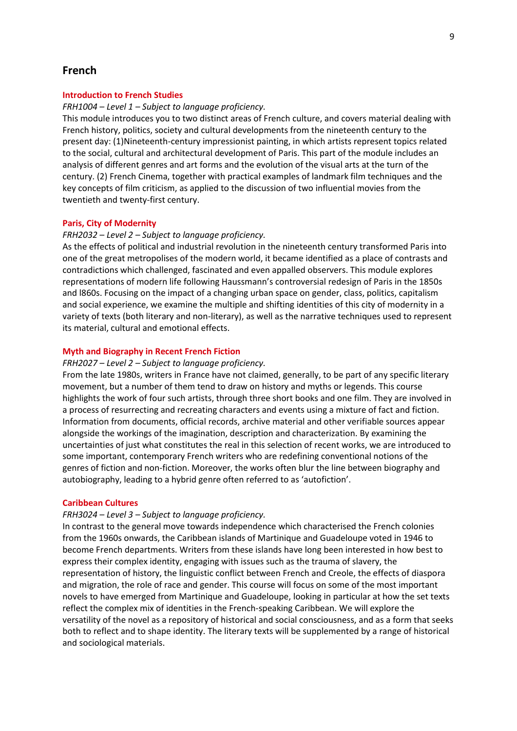## **French**

#### **Introduction to French Studies**

#### *FRH1004 – Level 1 – Subject to language proficiency.*

This module introduces you to two distinct areas of French culture, and covers material dealing with French history, politics, society and cultural developments from the nineteenth century to the present day: (1)Nineteenth-century impressionist painting, in which artists represent topics related to the social, cultural and architectural development of Paris. This part of the module includes an analysis of different genres and art forms and the evolution of the visual arts at the turn of the century. (2) French Cinema, together with practical examples of landmark film techniques and the key concepts of film criticism, as applied to the discussion of two influential movies from the twentieth and twenty-first century.

#### **Paris, City of Modernity**

## *FRH2032 – Level 2 – Subject to language proficiency.*

As the effects of political and industrial revolution in the nineteenth century transformed Paris into one of the great metropolises of the modern world, it became identified as a place of contrasts and contradictions which challenged, fascinated and even appalled observers. This module explores representations of modern life following Haussmann's controversial redesign of Paris in the 1850s and l860s. Focusing on the impact of a changing urban space on gender, class, politics, capitalism and social experience, we examine the multiple and shifting identities of this city of modernity in a variety of texts (both literary and non-literary), as well as the narrative techniques used to represent its material, cultural and emotional effects.

## **Myth and Biography in Recent French Fiction**

#### *FRH2027 – Level 2 – Subject to language proficiency.*

From the late 1980s, writers in France have not claimed, generally, to be part of any specific literary movement, but a number of them tend to draw on history and myths or legends. This course highlights the work of four such artists, through three short books and one film. They are involved in a process of resurrecting and recreating characters and events using a mixture of fact and fiction. Information from documents, official records, archive material and other verifiable sources appear alongside the workings of the imagination, description and characterization. By examining the uncertainties of just what constitutes the real in this selection of recent works, we are introduced to some important, contemporary French writers who are redefining conventional notions of the genres of fiction and non-fiction. Moreover, the works often blur the line between biography and autobiography, leading to a hybrid genre often referred to as 'autofiction'.

#### **Caribbean Cultures**

#### *FRH3024 – Level 3 – Subject to language proficiency.*

In contrast to the general move towards independence which characterised the French colonies from the 1960s onwards, the Caribbean islands of Martinique and Guadeloupe voted in 1946 to become French departments. Writers from these islands have long been interested in how best to express their complex identity, engaging with issues such as the trauma of slavery, the representation of history, the linguistic conflict between French and Creole, the effects of diaspora and migration, the role of race and gender. This course will focus on some of the most important novels to have emerged from Martinique and Guadeloupe, looking in particular at how the set texts reflect the complex mix of identities in the French-speaking Caribbean. We will explore the versatility of the novel as a repository of historical and social consciousness, and as a form that seeks both to reflect and to shape identity. The literary texts will be supplemented by a range of historical and sociological materials.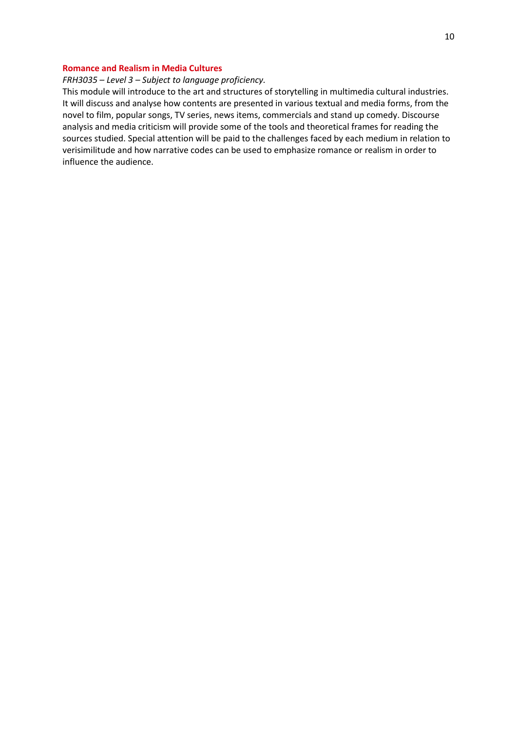## **Romance and Realism in Media Cultures**

## *FRH3035 – Level 3 – Subject to language proficiency.*

This module will introduce to the art and structures of storytelling in multimedia cultural industries. It will discuss and analyse how contents are presented in various textual and media forms, from the novel to film, popular songs, TV series, news items, commercials and stand up comedy. Discourse analysis and media criticism will provide some of the tools and theoretical frames for reading the sources studied. Special attention will be paid to the challenges faced by each medium in relation to verisimilitude and how narrative codes can be used to emphasize romance or realism in order to influence the audience.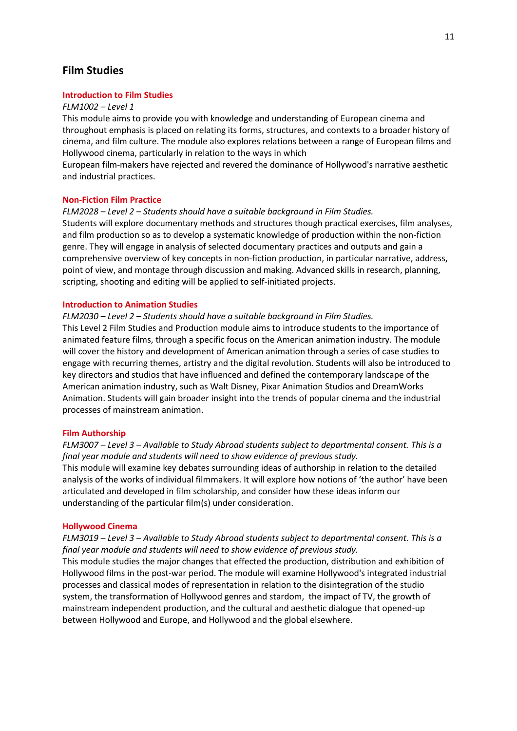# **Film Studies**

## **Introduction to Film Studies**

#### *FLM1002 – Level 1*

This module aims to provide you with knowledge and understanding of European cinema and throughout emphasis is placed on relating its forms, structures, and contexts to a broader history of cinema, and film culture. The module also explores relations between a range of European films and Hollywood cinema, particularly in relation to the ways in which

European film-makers have rejected and revered the dominance of Hollywood's narrative aesthetic and industrial practices.

#### **Non-Fiction Film Practice**

*FLM2028 – Level 2 – Students should have a suitable background in Film Studies.*

Students will explore documentary methods and structures though practical exercises, film analyses, and film production so as to develop a systematic knowledge of production within the non-fiction genre. They will engage in analysis of selected documentary practices and outputs and gain a comprehensive overview of key concepts in non-fiction production, in particular narrative, address, point of view, and montage through discussion and making. Advanced skills in research, planning, scripting, shooting and editing will be applied to self-initiated projects.

#### **Introduction to Animation Studies**

*FLM2030 – Level 2 – Students should have a suitable background in Film Studies.*

This Level 2 Film Studies and Production module aims to introduce students to the importance of animated feature films, through a specific focus on the American animation industry. The module will cover the history and development of American animation through a series of case studies to engage with recurring themes, artistry and the digital revolution. Students will also be introduced to key directors and studios that have influenced and defined the contemporary landscape of the American animation industry, such as Walt Disney, Pixar Animation Studios and DreamWorks Animation. Students will gain broader insight into the trends of popular cinema and the industrial processes of mainstream animation.

## **Film Authorship**

*FLM3007 – Level 3 – Available to Study Abroad students subject to departmental consent. This is a final year module and students will need to show evidence of previous study.* This module will examine key debates surrounding ideas of authorship in relation to the detailed analysis of the works of individual filmmakers. It will explore how notions of 'the author' have been articulated and developed in film scholarship, and consider how these ideas inform our understanding of the particular film(s) under consideration.

#### **Hollywood Cinema**

*FLM3019 – Level 3 – Available to Study Abroad students subject to departmental consent. This is a final year module and students will need to show evidence of previous study.*

This module studies the major changes that effected the production, distribution and exhibition of Hollywood films in the post-war period. The module will examine Hollywood's integrated industrial processes and classical modes of representation in relation to the disintegration of the studio system, the transformation of Hollywood genres and stardom, the impact of TV, the growth of mainstream independent production, and the cultural and aesthetic dialogue that opened-up between Hollywood and Europe, and Hollywood and the global elsewhere.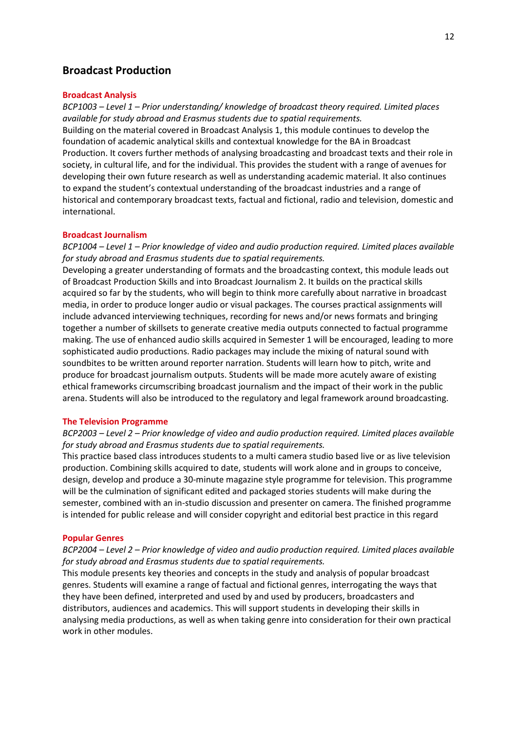## **Broadcast Production**

#### **Broadcast Analysis**

*BCP1003 – Level 1 – Prior understanding/ knowledge of broadcast theory required. Limited places available for study abroad and Erasmus students due to spatial requirements.* Building on the material covered in Broadcast Analysis 1, this module continues to develop the foundation of academic analytical skills and contextual knowledge for the BA in Broadcast Production. It covers further methods of analysing broadcasting and broadcast texts and their role in society, in cultural life, and for the individual. This provides the student with a range of avenues for developing their own future research as well as understanding academic material. It also continues to expand the student's contextual understanding of the broadcast industries and a range of historical and contemporary broadcast texts, factual and fictional, radio and television, domestic and international.

## **Broadcast Journalism**

*BCP1004 – Level 1 – Prior knowledge of video and audio production required. Limited places available for study abroad and Erasmus students due to spatial requirements.*

Developing a greater understanding of formats and the broadcasting context, this module leads out of Broadcast Production Skills and into Broadcast Journalism 2. It builds on the practical skills acquired so far by the students, who will begin to think more carefully about narrative in broadcast media, in order to produce longer audio or visual packages. The courses practical assignments will include advanced interviewing techniques, recording for news and/or news formats and bringing together a number of skillsets to generate creative media outputs connected to factual programme making. The use of enhanced audio skills acquired in Semester 1 will be encouraged, leading to more sophisticated audio productions. Radio packages may include the mixing of natural sound with soundbites to be written around reporter narration. Students will learn how to pitch, write and produce for broadcast journalism outputs. Students will be made more acutely aware of existing ethical frameworks circumscribing broadcast journalism and the impact of their work in the public arena. Students will also be introduced to the regulatory and legal framework around broadcasting.

#### **The Television Programme**

*BCP2003 – Level 2 – Prior knowledge of video and audio production required. Limited places available for study abroad and Erasmus students due to spatial requirements.*

This practice based class introduces students to a multi camera studio based live or as live television production. Combining skills acquired to date, students will work alone and in groups to conceive, design, develop and produce a 30-minute magazine style programme for television. This programme will be the culmination of significant edited and packaged stories students will make during the semester, combined with an in-studio discussion and presenter on camera. The finished programme is intended for public release and will consider copyright and editorial best practice in this regard

#### **Popular Genres**

## *BCP2004 – Level 2 – Prior knowledge of video and audio production required. Limited places available for study abroad and Erasmus students due to spatial requirements.*

This module presents key theories and concepts in the study and analysis of popular broadcast genres. Students will examine a range of factual and fictional genres, interrogating the ways that they have been defined, interpreted and used by and used by producers, broadcasters and distributors, audiences and academics. This will support students in developing their skills in analysing media productions, as well as when taking genre into consideration for their own practical work in other modules.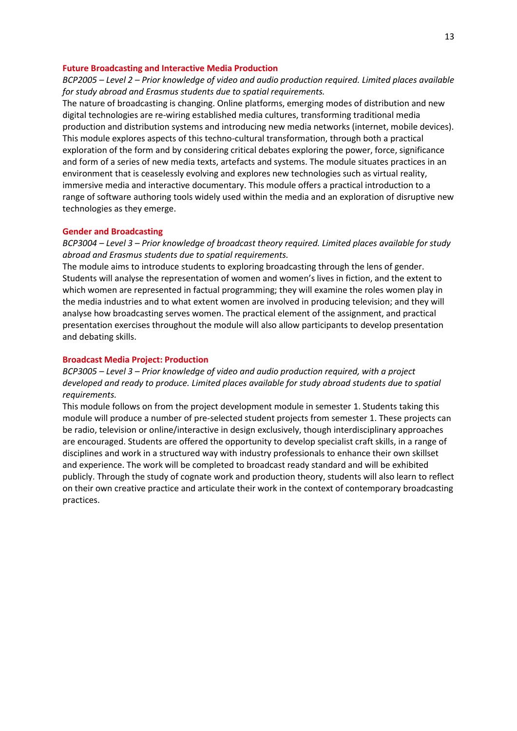#### **Future Broadcasting and Interactive Media Production**

## *BCP2005 – Level 2 – Prior knowledge of video and audio production required. Limited places available for study abroad and Erasmus students due to spatial requirements.*

The nature of broadcasting is changing. Online platforms, emerging modes of distribution and new digital technologies are re-wiring established media cultures, transforming traditional media production and distribution systems and introducing new media networks (internet, mobile devices). This module explores aspects of this techno-cultural transformation, through both a practical exploration of the form and by considering critical debates exploring the power, force, significance and form of a series of new media texts, artefacts and systems. The module situates practices in an environment that is ceaselessly evolving and explores new technologies such as virtual reality, immersive media and interactive documentary. This module offers a practical introduction to a range of software authoring tools widely used within the media and an exploration of disruptive new technologies as they emerge.

#### **Gender and Broadcasting**

*BCP3004 – Level 3 – Prior knowledge of broadcast theory required. Limited places available for study abroad and Erasmus students due to spatial requirements.*

The module aims to introduce students to exploring broadcasting through the lens of gender. Students will analyse the representation of women and women's lives in fiction, and the extent to which women are represented in factual programming; they will examine the roles women play in the media industries and to what extent women are involved in producing television; and they will analyse how broadcasting serves women. The practical element of the assignment, and practical presentation exercises throughout the module will also allow participants to develop presentation and debating skills.

#### **Broadcast Media Project: Production**

*BCP3005 – Level 3 – Prior knowledge of video and audio production required, with a project developed and ready to produce. Limited places available for study abroad students due to spatial requirements.*

This module follows on from the project development module in semester 1. Students taking this module will produce a number of pre-selected student projects from semester 1. These projects can be radio, television or online/interactive in design exclusively, though interdisciplinary approaches are encouraged. Students are offered the opportunity to develop specialist craft skills, in a range of disciplines and work in a structured way with industry professionals to enhance their own skillset and experience. The work will be completed to broadcast ready standard and will be exhibited publicly. Through the study of cognate work and production theory, students will also learn to reflect on their own creative practice and articulate their work in the context of contemporary broadcasting practices.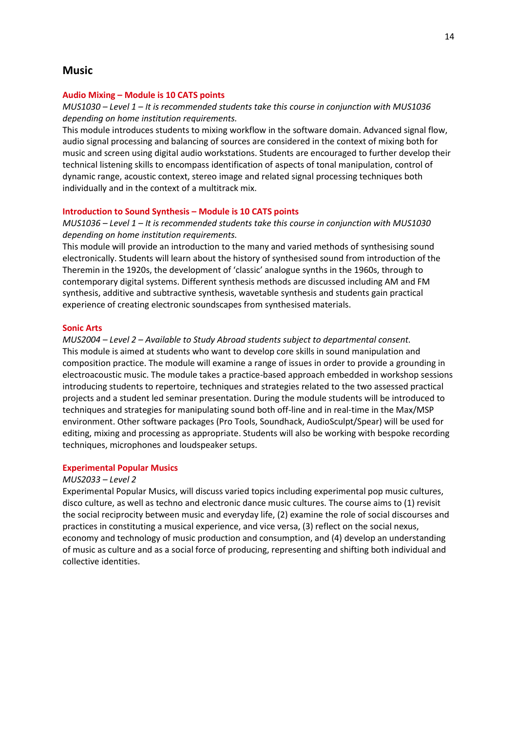## **Music**

#### **Audio Mixing – Module is 10 CATS points**

## *MUS1030 – Level 1 – It is recommended students take this course in conjunction with MUS1036 depending on home institution requirements.*

This module introduces students to mixing workflow in the software domain. Advanced signal flow, audio signal processing and balancing of sources are considered in the context of mixing both for music and screen using digital audio workstations. Students are encouraged to further develop their technical listening skills to encompass identification of aspects of tonal manipulation, control of dynamic range, acoustic context, stereo image and related signal processing techniques both individually and in the context of a multitrack mix.

#### **Introduction to Sound Synthesis – Module is 10 CATS points**

## *MUS1036 – Level 1 – It is recommended students take this course in conjunction with MUS1030 depending on home institution requirements.*

This module will provide an introduction to the many and varied methods of synthesising sound electronically. Students will learn about the history of synthesised sound from introduction of the Theremin in the 1920s, the development of 'classic' analogue synths in the 1960s, through to contemporary digital systems. Different synthesis methods are discussed including AM and FM synthesis, additive and subtractive synthesis, wavetable synthesis and students gain practical experience of creating electronic soundscapes from synthesised materials.

#### **Sonic Arts**

*MUS2004 – Level 2 – Available to Study Abroad students subject to departmental consent.* This module is aimed at students who want to develop core skills in sound manipulation and composition practice. The module will examine a range of issues in order to provide a grounding in electroacoustic music. The module takes a practice-based approach embedded in workshop sessions introducing students to repertoire, techniques and strategies related to the two assessed practical projects and a student led seminar presentation. During the module students will be introduced to techniques and strategies for manipulating sound both off-line and in real-time in the Max/MSP environment. Other software packages (Pro Tools, Soundhack, AudioSculpt/Spear) will be used for editing, mixing and processing as appropriate. Students will also be working with bespoke recording techniques, microphones and loudspeaker setups.

#### **Experimental Popular Musics**

#### *MUS2033 – Level 2*

Experimental Popular Musics, will discuss varied topics including experimental pop music cultures, disco culture, as well as techno and electronic dance music cultures. The course aims to (1) revisit the social reciprocity between music and everyday life, (2) examine the role of social discourses and practices in constituting a musical experience, and vice versa, (3) reflect on the social nexus, economy and technology of music production and consumption, and (4) develop an understanding of music as culture and as a social force of producing, representing and shifting both individual and collective identities.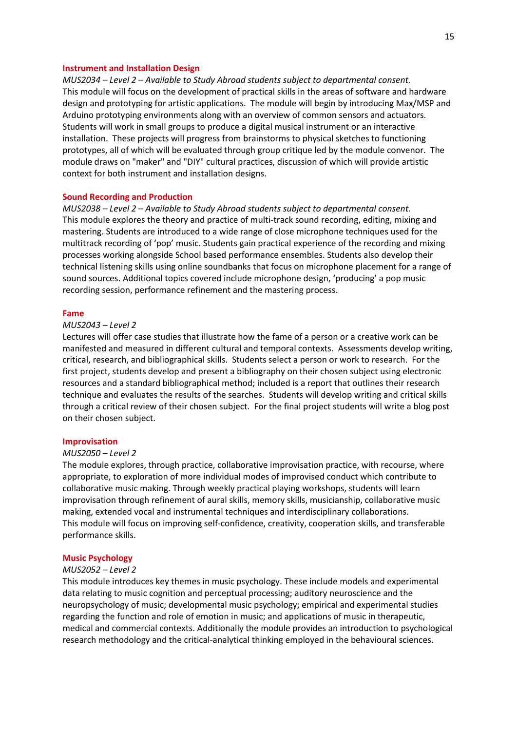#### **Instrument and Installation Design**

*MUS2034 – Level 2 – Available to Study Abroad students subject to departmental consent.* This module will focus on the development of practical skills in the areas of software and hardware design and prototyping for artistic applications. The module will begin by introducing Max/MSP and Arduino prototyping environments along with an overview of common sensors and actuators. Students will work in small groups to produce a digital musical instrument or an interactive installation. These projects will progress from brainstorms to physical sketches to functioning prototypes, all of which will be evaluated through group critique led by the module convenor. The module draws on "maker" and "DIY" cultural practices, discussion of which will provide artistic context for both instrument and installation designs.

#### **Sound Recording and Production**

*MUS2038 – Level 2 – Available to Study Abroad students subject to departmental consent.* This module explores the theory and practice of multi-track sound recording, editing, mixing and mastering. Students are introduced to a wide range of close microphone techniques used for the multitrack recording of 'pop' music. Students gain practical experience of the recording and mixing processes working alongside School based performance ensembles. Students also develop their technical listening skills using online soundbanks that focus on microphone placement for a range of sound sources. Additional topics covered include microphone design, 'producing' a pop music recording session, performance refinement and the mastering process.

#### **Fame**

#### *MUS2043 – Level 2*

Lectures will offer case studies that illustrate how the fame of a person or a creative work can be manifested and measured in different cultural and temporal contexts. Assessments develop writing, critical, research, and bibliographical skills. Students select a person or work to research. For the first project, students develop and present a bibliography on their chosen subject using electronic resources and a standard bibliographical method; included is a report that outlines their research technique and evaluates the results of the searches. Students will develop writing and critical skills through a critical review of their chosen subject. For the final project students will write a blog post on their chosen subject.

## **Improvisation**

#### *MUS2050 – Level 2*

The module explores, through practice, collaborative improvisation practice, with recourse, where appropriate, to exploration of more individual modes of improvised conduct which contribute to collaborative music making. Through weekly practical playing workshops, students will learn improvisation through refinement of aural skills, memory skills, musicianship, collaborative music making, extended vocal and instrumental techniques and interdisciplinary collaborations. This module will focus on improving self-confidence, creativity, cooperation skills, and transferable performance skills.

## **Music Psychology**

#### *MUS2052 – Level 2*

This module introduces key themes in music psychology. These include models and experimental data relating to music cognition and perceptual processing; auditory neuroscience and the neuropsychology of music; developmental music psychology; empirical and experimental studies regarding the function and role of emotion in music; and applications of music in therapeutic, medical and commercial contexts. Additionally the module provides an introduction to psychological research methodology and the critical-analytical thinking employed in the behavioural sciences.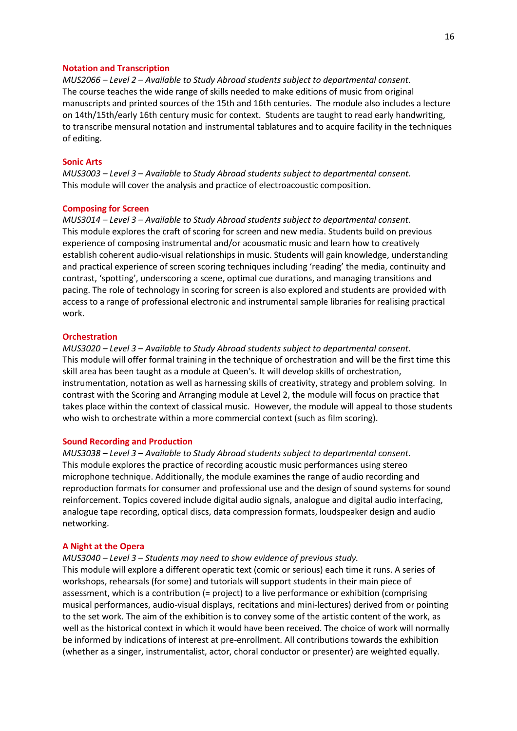#### **Notation and Transcription**

*MUS2066 – Level 2 – Available to Study Abroad students subject to departmental consent.* The course teaches the wide range of skills needed to make editions of music from original manuscripts and printed sources of the 15th and 16th centuries. The module also includes a lecture on 14th/15th/early 16th century music for context. Students are taught to read early handwriting, to transcribe mensural notation and instrumental tablatures and to acquire facility in the techniques of editing.

## **Sonic Arts**

*MUS3003 – Level 3 – Available to Study Abroad students subject to departmental consent.* This module will cover the analysis and practice of electroacoustic composition.

#### **Composing for Screen**

*MUS3014 – Level 3 – Available to Study Abroad students subject to departmental consent.* This module explores the craft of scoring for screen and new media. Students build on previous experience of composing instrumental and/or acousmatic music and learn how to creatively establish coherent audio-visual relationships in music. Students will gain knowledge, understanding and practical experience of screen scoring techniques including 'reading' the media, continuity and contrast, 'spotting', underscoring a scene, optimal cue durations, and managing transitions and pacing. The role of technology in scoring for screen is also explored and students are provided with access to a range of professional electronic and instrumental sample libraries for realising practical work.

## **Orchestration**

*MUS3020 – Level 3 – Available to Study Abroad students subject to departmental consent.* This module will offer formal training in the technique of orchestration and will be the first time this skill area has been taught as a module at Queen's. It will develop skills of orchestration, instrumentation, notation as well as harnessing skills of creativity, strategy and problem solving. In contrast with the Scoring and Arranging module at Level 2, the module will focus on practice that takes place within the context of classical music. However, the module will appeal to those students who wish to orchestrate within a more commercial context (such as film scoring).

## **Sound Recording and Production**

*MUS3038 – Level 3 – Available to Study Abroad students subject to departmental consent.* This module explores the practice of recording acoustic music performances using stereo microphone technique. Additionally, the module examines the range of audio recording and reproduction formats for consumer and professional use and the design of sound systems for sound reinforcement. Topics covered include digital audio signals, analogue and digital audio interfacing, analogue tape recording, optical discs, data compression formats, loudspeaker design and audio networking.

#### **A Night at the Opera**

#### *MUS3040 – Level 3 – Students may need to show evidence of previous study.*

This module will explore a different operatic text (comic or serious) each time it runs. A series of workshops, rehearsals (for some) and tutorials will support students in their main piece of assessment, which is a contribution (= project) to a live performance or exhibition (comprising musical performances, audio-visual displays, recitations and mini-lectures) derived from or pointing to the set work. The aim of the exhibition is to convey some of the artistic content of the work, as well as the historical context in which it would have been received. The choice of work will normally be informed by indications of interest at pre-enrollment. All contributions towards the exhibition (whether as a singer, instrumentalist, actor, choral conductor or presenter) are weighted equally.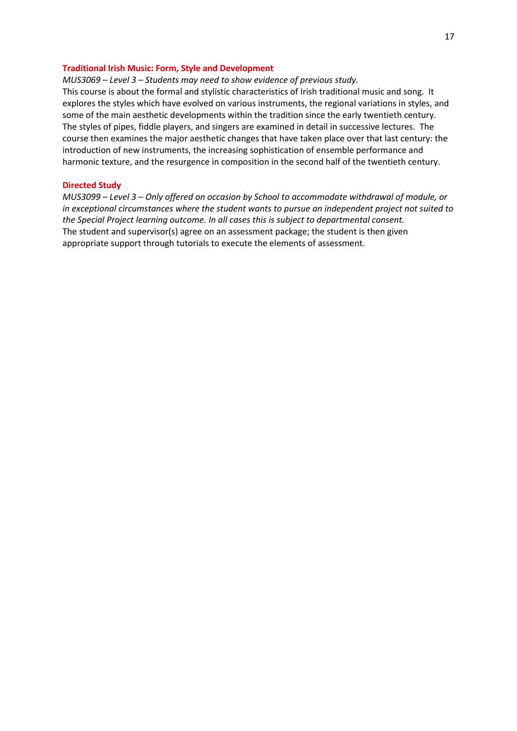## **Traditional Irish Music: Form, Style and Development**

*MUS3069 – Level 3 – Students may need to show evidence of previous study.*

This course is about the formal and stylistic characteristics of Irish traditional music and song. It explores the styles which have evolved on various instruments, the regional variations in styles, and some of the main aesthetic developments within the tradition since the early twentieth century. The styles of pipes, fiddle players, and singers are examined in detail in successive lectures. The course then examines the major aesthetic changes that have taken place over that last century: the introduction of new instruments, the increasing sophistication of ensemble performance and harmonic texture, and the resurgence in composition in the second half of the twentieth century.

## **Directed Study**

*MUS3099 – Level 3 – Only offered on occasion by School to accommodate withdrawal of module, or in exceptional circumstances where the student wants to pursue an independent project not suited to the Special Project learning outcome. In all cases this is subject to departmental consent.*  The student and supervisor(s) agree on an assessment package; the student is then given appropriate support through tutorials to execute the elements of assessment.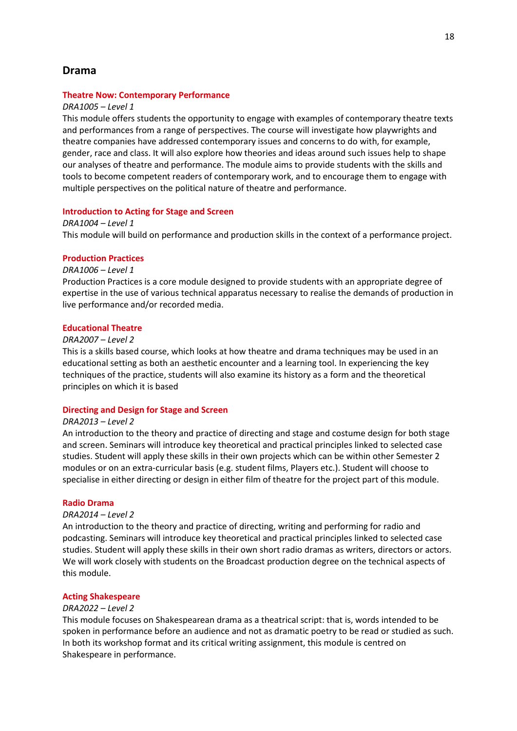# **Drama**

#### **Theatre Now: Contemporary Performance**

#### *DRA1005 – Level 1*

This module offers students the opportunity to engage with examples of contemporary theatre texts and performances from a range of perspectives. The course will investigate how playwrights and theatre companies have addressed contemporary issues and concerns to do with, for example, gender, race and class. It will also explore how theories and ideas around such issues help to shape our analyses of theatre and performance. The module aims to provide students with the skills and tools to become competent readers of contemporary work, and to encourage them to engage with multiple perspectives on the political nature of theatre and performance.

#### **Introduction to Acting for Stage and Screen**

*DRA1004 – Level 1* This module will build on performance and production skills in the context of a performance project.

#### **Production Practices**

## *DRA1006 – Level 1*

Production Practices is a core module designed to provide students with an appropriate degree of expertise in the use of various technical apparatus necessary to realise the demands of production in live performance and/or recorded media.

#### **Educational Theatre**

## *DRA2007 – Level 2*

This is a skills based course, which looks at how theatre and drama techniques may be used in an educational setting as both an aesthetic encounter and a learning tool. In experiencing the key techniques of the practice, students will also examine its history as a form and the theoretical principles on which it is based

#### **Directing and Design for Stage and Screen**

## *DRA2013 – Level 2*

An introduction to the theory and practice of directing and stage and costume design for both stage and screen. Seminars will introduce key theoretical and practical principles linked to selected case studies. Student will apply these skills in their own projects which can be within other Semester 2 modules or on an extra-curricular basis (e.g. student films, Players etc.). Student will choose to specialise in either directing or design in either film of theatre for the project part of this module.

#### **Radio Drama**

#### *DRA2014 – Level 2*

An introduction to the theory and practice of directing, writing and performing for radio and podcasting. Seminars will introduce key theoretical and practical principles linked to selected case studies. Student will apply these skills in their own short radio dramas as writers, directors or actors. We will work closely with students on the Broadcast production degree on the technical aspects of this module.

#### **Acting Shakespeare**

## *DRA2022 – Level 2*

This module focuses on Shakespearean drama as a theatrical script: that is, words intended to be spoken in performance before an audience and not as dramatic poetry to be read or studied as such. In both its workshop format and its critical writing assignment, this module is centred on Shakespeare in performance.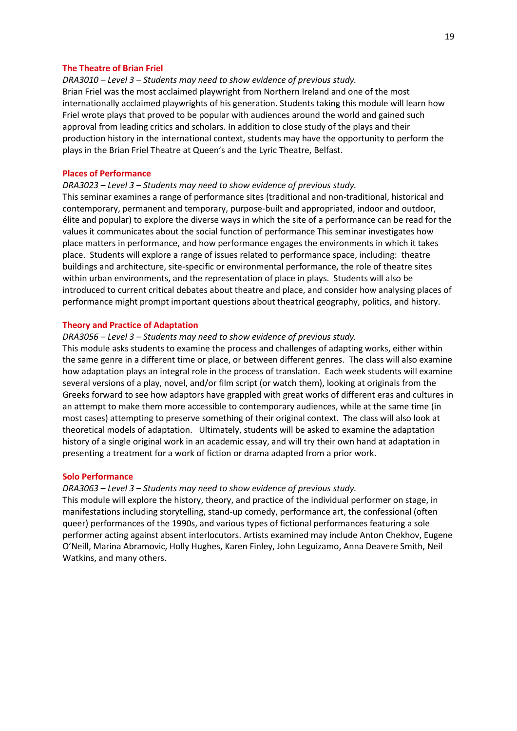#### **The Theatre of Brian Friel**

*DRA3010 – Level 3 – Students may need to show evidence of previous study.* Brian Friel was the most acclaimed playwright from Northern Ireland and one of the most internationally acclaimed playwrights of his generation. Students taking this module will learn how Friel wrote plays that proved to be popular with audiences around the world and gained such approval from leading critics and scholars. In addition to close study of the plays and their production history in the international context, students may have the opportunity to perform the plays in the Brian Friel Theatre at Queen's and the Lyric Theatre, Belfast.

#### **Places of Performance**

## *DRA3023 – Level 3 – Students may need to show evidence of previous study.*

This seminar examines a range of performance sites (traditional and non-traditional, historical and contemporary, permanent and temporary, purpose-built and appropriated, indoor and outdoor, élite and popular) to explore the diverse ways in which the site of a performance can be read for the values it communicates about the social function of performance This seminar investigates how place matters in performance, and how performance engages the environments in which it takes place. Students will explore a range of issues related to performance space, including: theatre buildings and architecture, site-specific or environmental performance, the role of theatre sites within urban environments, and the representation of place in plays. Students will also be introduced to current critical debates about theatre and place, and consider how analysing places of performance might prompt important questions about theatrical geography, politics, and history.

#### **Theory and Practice of Adaptation**

## *DRA3056 – Level 3 – Students may need to show evidence of previous study.*

This module asks students to examine the process and challenges of adapting works, either within the same genre in a different time or place, or between different genres. The class will also examine how adaptation plays an integral role in the process of translation. Each week students will examine several versions of a play, novel, and/or film script (or watch them), looking at originals from the Greeks forward to see how adaptors have grappled with great works of different eras and cultures in an attempt to make them more accessible to contemporary audiences, while at the same time (in most cases) attempting to preserve something of their original context. The class will also look at theoretical models of adaptation. Ultimately, students will be asked to examine the adaptation history of a single original work in an academic essay, and will try their own hand at adaptation in presenting a treatment for a work of fiction or drama adapted from a prior work.

#### **Solo Performance**

## *DRA3063 – Level 3 – Students may need to show evidence of previous study.*

This module will explore the history, theory, and practice of the individual performer on stage, in manifestations including storytelling, stand-up comedy, performance art, the confessional (often queer) performances of the 1990s, and various types of fictional performances featuring a sole performer acting against absent interlocutors. Artists examined may include Anton Chekhov, Eugene O'Neill, Marina Abramovic, Holly Hughes, Karen Finley, John Leguizamo, Anna Deavere Smith, Neil Watkins, and many others.